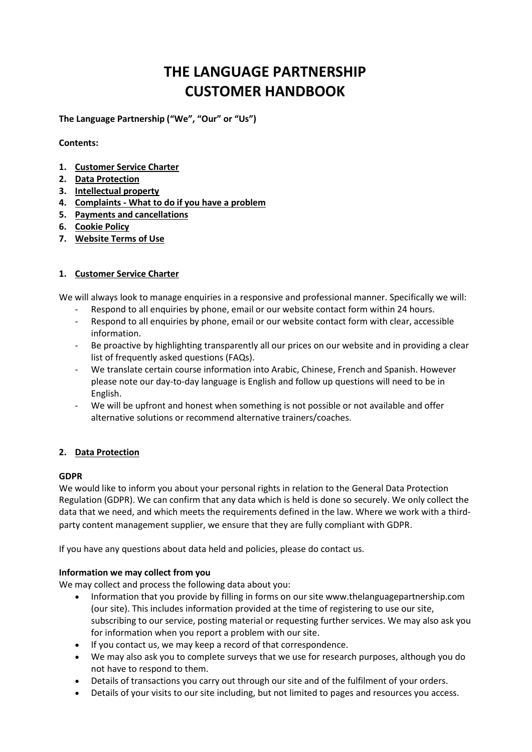# **THE LANGUAGE PARTNERSHIP CUSTOMER HANDBOOK**

**The Language Partnership ("We", "Our" or "Us")**

**Contents:**

- **1. [Customer Service Charter](#page-0-0)**
- **2. [Data Protection](#page-0-1)**
- **3. [Intellectual property](#page-1-0)**
- **4. Complaints - [What to do if you have a problem](#page-2-0)**
- **5. Payments and [cancellations](#page-2-1)**
- **6. [Cookie Policy](#page-3-0)**
- **7. [Website Terms of Use](#page-3-1)**

# <span id="page-0-0"></span>**1. Customer Service Charter**

We will always look to manage enquiries in a responsive and professional manner. Specifically we will:

- Respond to all enquiries by phone, email or our website contact form within 24 hours.
- Respond to all enquiries by phone, email or our website contact form with clear, accessible information.
- Be proactive by highlighting transparently all our prices on our website and in providing a clear list of frequently asked questions (FAQs).
- We translate certain course information into Arabic, Chinese, French and Spanish. However please note our day-to-day language is English and follow up questions will need to be in English.
- We will be upfront and honest when something is not possible or not available and offer alternative solutions or recommend alternative trainers/coaches.

# <span id="page-0-1"></span>**2. Data Protection**

# **GDPR**

We would like to inform you about your personal rights in relation to the General Data Protection Regulation (GDPR). We can confirm that any data which is held is done so securely. We only collect the data that we need, and which meets the requirements defined in the law. Where we work with a thirdparty content management supplier, we ensure that they are fully compliant with GDPR.

If you have any questions about data held and policies, please do contact us.

# **Information we may collect from you**

We may collect and process the following data about you:

- Information that you provide by filling in forms on our site www.thelanguagepartnership.com (our site). This includes information provided at the time of registering to use our site, subscribing to our service, posting material or requesting further services. We may also ask you for information when you report a problem with our site.
- If you contact us, we may keep a record of that correspondence.
- We may also ask you to complete surveys that we use for research purposes, although you do not have to respond to them.
- Details of transactions you carry out through our site and of the fulfilment of your orders.
- Details of your visits to our site including, but not limited to pages and resources you access.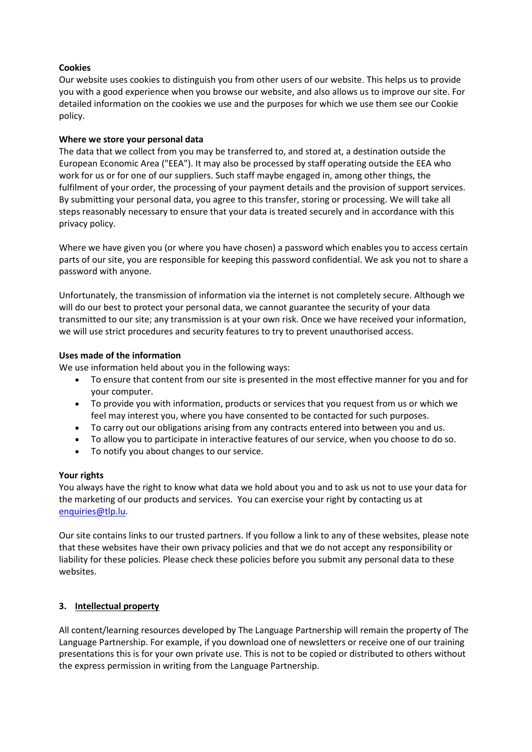# **Cookies**

Our website uses cookies to distinguish you from other users of our website. This helps us to provide you with a good experience when you browse our website, and also allows us to improve our site. For detailed information on the cookies we use and the purposes for which we use them see our Cookie policy.

## **Where we store your personal data**

The data that we collect from you may be transferred to, and stored at, a destination outside the European Economic Area ("EEA"). It may also be processed by staff operating outside the EEA who work for us or for one of our suppliers. Such staff maybe engaged in, among other things, the fulfilment of your order, the processing of your payment details and the provision of support services. By submitting your personal data, you agree to this transfer, storing or processing. We will take all steps reasonably necessary to ensure that your data is treated securely and in accordance with this privacy policy.

Where we have given you (or where you have chosen) a password which enables you to access certain parts of our site, you are responsible for keeping this password confidential. We ask you not to share a password with anyone.

Unfortunately, the transmission of information via the internet is not completely secure. Although we will do our best to protect your personal data, we cannot guarantee the security of your data transmitted to our site; any transmission is at your own risk. Once we have received your information, we will use strict procedures and security features to try to prevent unauthorised access.

## **Uses made of the information**

We use information held about you in the following ways:

- To ensure that content from our site is presented in the most effective manner for you and for your computer.
- To provide you with information, products or services that you request from us or which we feel may interest you, where you have consented to be contacted for such purposes.
- To carry out our obligations arising from any contracts entered into between you and us.
- To allow you to participate in interactive features of our service, when you choose to do so.
- To notify you about changes to our service.

#### **Your rights**

You always have the right to know what data we hold about you and to ask us not to use your data for the marketing of our products and services. You can exercise your right by contacting us at [enquiries@tlp.lu.](mailto:enquiries@tlp.lu)

Our site contains links to our trusted partners. If you follow a link to any of these websites, please note that these websites have their own privacy policies and that we do not accept any responsibility or liability for these policies. Please check these policies before you submit any personal data to these websites.

# <span id="page-1-0"></span>**3. Intellectual property**

All content/learning resources developed by The Language Partnership will remain the property of The Language Partnership. For example, if you download one of newsletters or receive one of our training presentations this is for your own private use. This is not to be copied or distributed to others without the express permission in writing from the Language Partnership.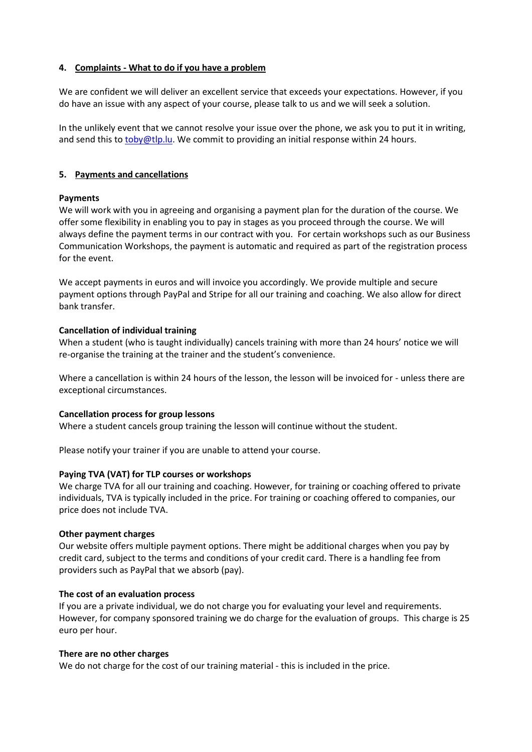## <span id="page-2-0"></span>**4. Complaints - What to do if you have a problem**

We are confident we will deliver an excellent service that exceeds your expectations. However, if you do have an issue with any aspect of your course, please talk to us and we will seek a solution.

In the unlikely event that we cannot resolve your issue over the phone, we ask you to put it in writing, and send this to [toby@tlp.lu.](mailto:toby@tlp.lu) We commit to providing an initial response within 24 hours.

## <span id="page-2-1"></span>**5. Payments and cancellations**

## **Payments**

We will work with you in agreeing and organising a payment plan for the duration of the course. We offer some flexibility in enabling you to pay in stages as you proceed through the course. We will always define the payment terms in our contract with you. For certain workshops such as our Business Communication Workshops, the payment is automatic and required as part of the registration process for the event.

We accept payments in euros and will invoice you accordingly. We provide multiple and secure payment options through PayPal and Stripe for all our training and coaching. We also allow for direct bank transfer.

## **Cancellation of individual training**

When a student (who is taught individually) cancels training with more than 24 hours' notice we will re-organise the training at the trainer and the student's convenience.

Where a cancellation is within 24 hours of the lesson, the lesson will be invoiced for - unless there are exceptional circumstances.

# **Cancellation process for group lessons**

Where a student cancels group training the lesson will continue without the student.

Please notify your trainer if you are unable to attend your course.

# **Paying TVA (VAT) for TLP courses or workshops**

We charge TVA for all our training and coaching. However, for training or coaching offered to private individuals, TVA is typically included in the price. For training or coaching offered to companies, our price does not include TVA.

#### **Other payment charges**

Our website offers multiple payment options. There might be additional charges when you pay by credit card, subject to the terms and conditions of your credit card. There is a handling fee from providers such as PayPal that we absorb (pay).

#### **The cost of an evaluation process**

If you are a private individual, we do not charge you for evaluating your level and requirements. However, for company sponsored training we do charge for the evaluation of groups. This charge is 25 euro per hour.

#### **There are no other charges**

We do not charge for the cost of our training material - this is included in the price.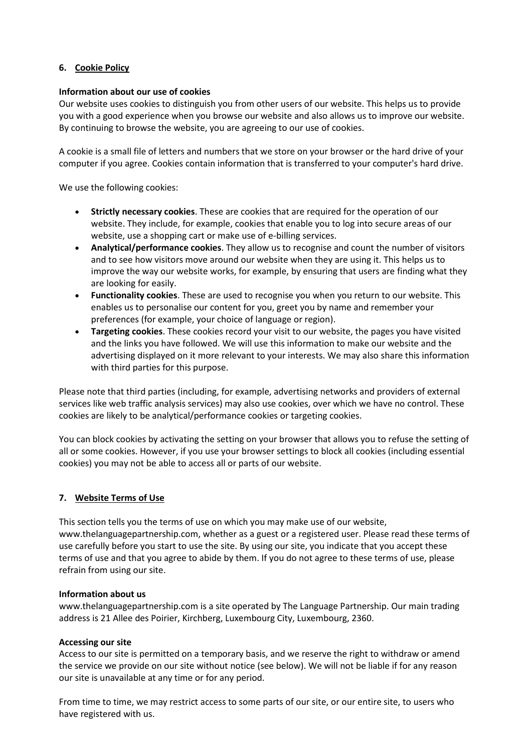## <span id="page-3-0"></span>**6. Cookie Policy**

## **Information about our use of cookies**

Our website uses cookies to distinguish you from other users of our website. This helps us to provide you with a good experience when you browse our website and also allows us to improve our website. By continuing to browse the website, you are agreeing to our use of cookies.

A cookie is a small file of letters and numbers that we store on your browser or the hard drive of your computer if you agree. Cookies contain information that is transferred to your computer's hard drive.

We use the following cookies:

- **Strictly necessary cookies**. These are cookies that are required for the operation of our website. They include, for example, cookies that enable you to log into secure areas of our website, use a shopping cart or make use of e-billing services.
- **Analytical/performance cookies**. They allow us to recognise and count the number of visitors and to see how visitors move around our website when they are using it. This helps us to improve the way our website works, for example, by ensuring that users are finding what they are looking for easily.
- **Functionality cookies**. These are used to recognise you when you return to our website. This enables us to personalise our content for you, greet you by name and remember your preferences (for example, your choice of language or region).
- **Targeting cookies**. These cookies record your visit to our website, the pages you have visited and the links you have followed. We will use this information to make our website and the advertising displayed on it more relevant to your interests. We may also share this information with third parties for this purpose.

Please note that third parties (including, for example, advertising networks and providers of external services like web traffic analysis services) may also use cookies, over which we have no control. These cookies are likely to be analytical/performance cookies or targeting cookies.

You can block cookies by activating the setting on your browser that allows you to refuse the setting of all or some cookies. However, if you use your browser settings to block all cookies (including essential cookies) you may not be able to access all or parts of our website.

# <span id="page-3-1"></span>**7. Website Terms of Use**

This section tells you the terms of use on which you may make use of our website, www.thelanguagepartnership.com, whether as a guest or a registered user. Please read these terms of use carefully before you start to use the site. By using our site, you indicate that you accept these terms of use and that you agree to abide by them. If you do not agree to these terms of use, please refrain from using our site.

#### **Information about us**

www.thelanguagepartnership.com is a site operated by The Language Partnership. Our main trading address is 21 Allee des Poirier, Kirchberg, Luxembourg City, Luxembourg, 2360.

#### **Accessing our site**

Access to our site is permitted on a temporary basis, and we reserve the right to withdraw or amend the service we provide on our site without notice (see below). We will not be liable if for any reason our site is unavailable at any time or for any period.

From time to time, we may restrict access to some parts of our site, or our entire site, to users who have registered with us.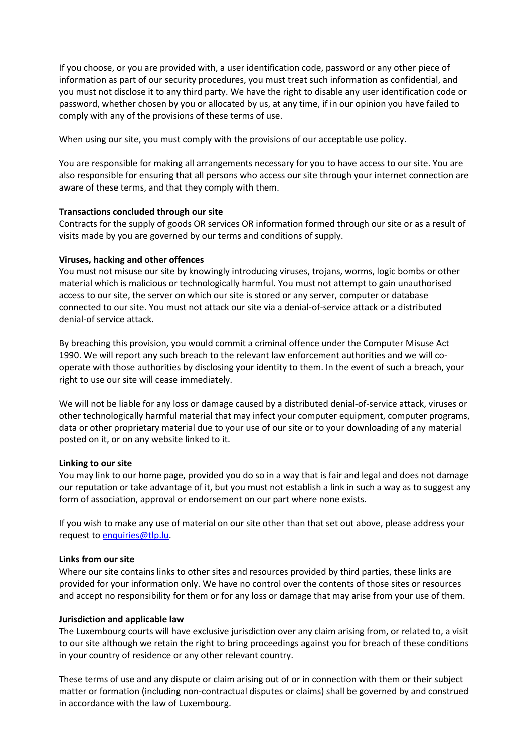If you choose, or you are provided with, a user identification code, password or any other piece of information as part of our security procedures, you must treat such information as confidential, and you must not disclose it to any third party. We have the right to disable any user identification code or password, whether chosen by you or allocated by us, at any time, if in our opinion you have failed to comply with any of the provisions of these terms of use.

When using our site, you must comply with the provisions of our acceptable use policy.

You are responsible for making all arrangements necessary for you to have access to our site. You are also responsible for ensuring that all persons who access our site through your internet connection are aware of these terms, and that they comply with them.

## **Transactions concluded through our site**

Contracts for the supply of goods OR services OR information formed through our site or as a result of visits made by you are governed by our terms and conditions of supply.

## **Viruses, hacking and other offences**

You must not misuse our site by knowingly introducing viruses, trojans, worms, logic bombs or other material which is malicious or technologically harmful. You must not attempt to gain unauthorised access to our site, the server on which our site is stored or any server, computer or database connected to our site. You must not attack our site via a denial-of-service attack or a distributed denial-of service attack.

By breaching this provision, you would commit a criminal offence under the Computer Misuse Act 1990. We will report any such breach to the relevant law enforcement authorities and we will cooperate with those authorities by disclosing your identity to them. In the event of such a breach, your right to use our site will cease immediately.

We will not be liable for any loss or damage caused by a distributed denial-of-service attack, viruses or other technologically harmful material that may infect your computer equipment, computer programs, data or other proprietary material due to your use of our site or to your downloading of any material posted on it, or on any website linked to it.

#### **Linking to our site**

You may link to our home page, provided you do so in a way that is fair and legal and does not damage our reputation or take advantage of it, but you must not establish a link in such a way as to suggest any form of association, approval or endorsement on our part where none exists.

If you wish to make any use of material on our site other than that set out above, please address your request to enquiries@tlp.lu.

#### **Links from our site**

Where our site contains links to other sites and resources provided by third parties, these links are provided for your information only. We have no control over the contents of those sites or resources and accept no responsibility for them or for any loss or damage that may arise from your use of them.

#### **Jurisdiction and applicable law**

The Luxembourg courts will have exclusive jurisdiction over any claim arising from, or related to, a visit to our site although we retain the right to bring proceedings against you for breach of these conditions in your country of residence or any other relevant country.

These terms of use and any dispute or claim arising out of or in connection with them or their subject matter or formation (including non-contractual disputes or claims) shall be governed by and construed in accordance with the law of Luxembourg.